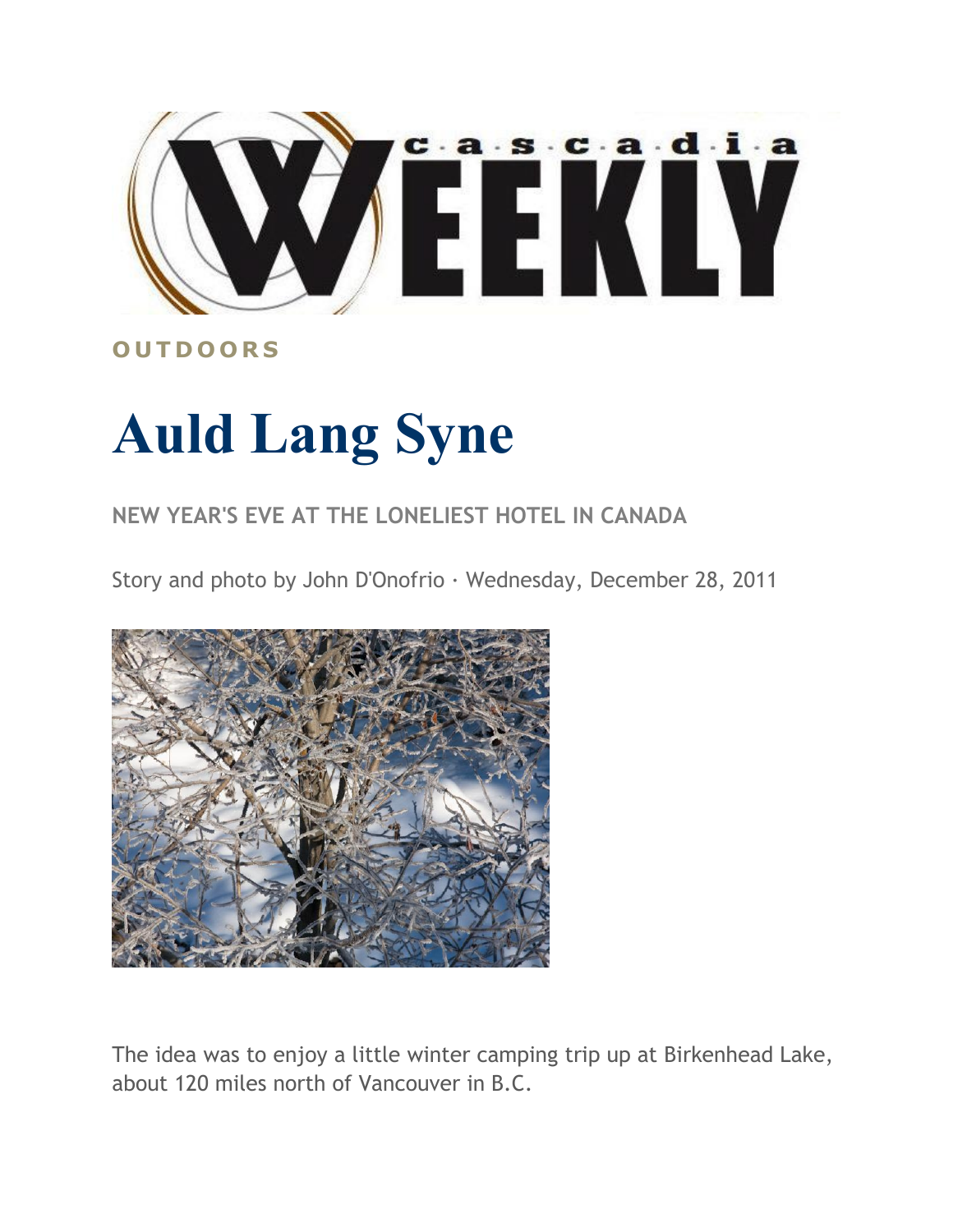

## **O U T D O O R S**

## **Auld Lang Syne**

## **NEW YEAR'S EVE AT THE LONELIEST HOTEL IN CANADA**

Story and photo by John D'Onofrio · Wednesday, December 28, 2011



The idea was to enjoy a little winter camping trip up at Birkenhead Lake, about 120 miles north of Vancouver in B.C.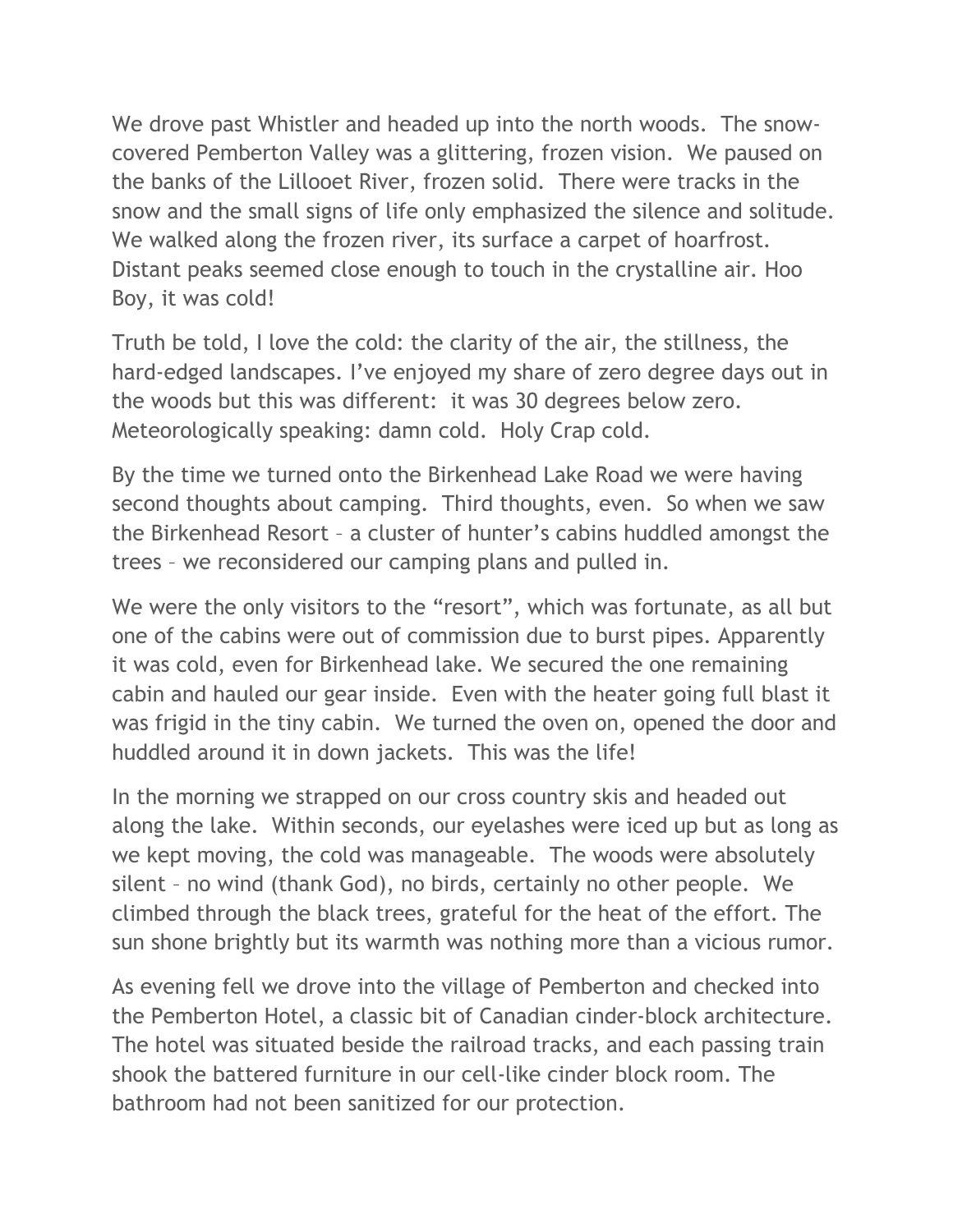We drove past Whistler and headed up into the north woods. The snowcovered Pemberton Valley was a glittering, frozen vision. We paused on the banks of the Lillooet River, frozen solid. There were tracks in the snow and the small signs of life only emphasized the silence and solitude. We walked along the frozen river, its surface a carpet of hoarfrost. Distant peaks seemed close enough to touch in the crystalline air. Hoo Boy, it was cold!

Truth be told, I love the cold: the clarity of the air, the stillness, the hard-edged landscapes. I've enjoyed my share of zero degree days out in the woods but this was different: it was 30 degrees below zero. Meteorologically speaking: damn cold. Holy Crap cold.

By the time we turned onto the Birkenhead Lake Road we were having second thoughts about camping. Third thoughts, even. So when we saw the Birkenhead Resort – a cluster of hunter's cabins huddled amongst the trees – we reconsidered our camping plans and pulled in.

We were the only visitors to the "resort", which was fortunate, as all but one of the cabins were out of commission due to burst pipes. Apparently it was cold, even for Birkenhead lake. We secured the one remaining cabin and hauled our gear inside. Even with the heater going full blast it was frigid in the tiny cabin. We turned the oven on, opened the door and huddled around it in down jackets. This was the life!

In the morning we strapped on our cross country skis and headed out along the lake. Within seconds, our eyelashes were iced up but as long as we kept moving, the cold was manageable. The woods were absolutely silent – no wind (thank God), no birds, certainly no other people. We climbed through the black trees, grateful for the heat of the effort. The sun shone brightly but its warmth was nothing more than a vicious rumor.

As evening fell we drove into the village of Pemberton and checked into the Pemberton Hotel, a classic bit of Canadian cinder-block architecture. The hotel was situated beside the railroad tracks, and each passing train shook the battered furniture in our cell-like cinder block room. The bathroom had not been sanitized for our protection.